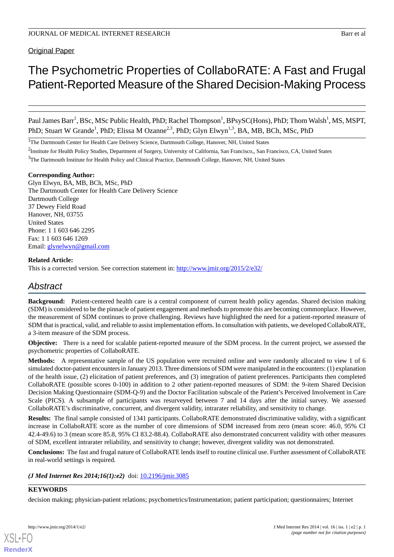Original Paper

# The Psychometric Properties of CollaboRATE: A Fast and Frugal Patient-Reported Measure of the Shared Decision-Making Process

Paul James Barr<sup>1</sup>, BSc, MSc Public Health, PhD; Rachel Thompson<sup>1</sup>, BPsySC(Hons), PhD; Thom Walsh<sup>1</sup>, MS, MSPT, PhD; Stuart W Grande<sup>1</sup>, PhD; Elissa M Ozanne<sup>2,3</sup>, PhD; Glyn Elwyn<sup>1,3</sup>, BA, MB, BCh, MSc, PhD

<sup>1</sup>The Dartmouth Center for Health Care Delivery Science, Dartmouth College, Hanover, NH, United States

<sup>2</sup>Institute for Health Policy Studies, Department of Surgery, University of California, San Francisco,, San Francisco, CA, United States

<sup>3</sup>The Dartmouth Institute for Health Policy and Clinical Practice, Dartmouth College, Hanover, NH, United States

#### **Corresponding Author:**

Glyn Elwyn, BA, MB, BCh, MSc, PhD The Dartmouth Center for Health Care Delivery Science Dartmouth College 37 Dewey Field Road Hanover, NH, 03755 United States Phone: 1 1 603 646 2295 Fax: 1 1 603 646 1269 Email: [glynelwyn@gmail.com](mailto:glynelwyn@gmail.com)

# **Related Article:**

This is a corrected version. See correction statement in: <http://www.jmir.org/2015/2/e32/>

# *Abstract*

**Background:** Patient-centered health care is a central component of current health policy agendas. Shared decision making (SDM) is considered to be the pinnacle of patient engagement and methods to promote this are becoming commonplace. However, the measurement of SDM continues to prove challenging. Reviews have highlighted the need for a patient-reported measure of SDM that is practical, valid, and reliable to assist implementation efforts. In consultation with patients, we developed CollaboRATE, a 3-item measure of the SDM process.

**Objective:** There is a need for scalable patient-reported measure of the SDM process. In the current project, we assessed the psychometric properties of CollaboRATE.

**Methods:** A representative sample of the US population were recruited online and were randomly allocated to view 1 of 6 simulated doctor-patient encounters in January 2013. Three dimensions of SDM were manipulated in the encounters: (1) explanation of the health issue, (2) elicitation of patient preferences, and (3) integration of patient preferences. Participants then completed CollaboRATE (possible scores 0-100) in addition to 2 other patient-reported measures of SDM: the 9-item Shared Decision Decision Making Questionnaire (SDM-Q-9) and the Doctor Facilitation subscale of the Patient's Perceived Involvement in Care Scale (PICS). A subsample of participants was resurveyed between 7 and 14 days after the initial survey. We assessed CollaboRATE's discriminative, concurrent, and divergent validity, intrarater reliability, and sensitivity to change.

**Results:** The final sample consisted of 1341 participants. CollaboRATE demonstrated discriminative validity, with a significant increase in CollaboRATE score as the number of core dimensions of SDM increased from zero (mean score: 46.0, 95% CI 42.4-49.6) to 3 (mean score 85.8, 95% CI 83.2-88.4). CollaboRATE also demonstrated concurrent validity with other measures of SDM, excellent intrarater reliability, and sensitivity to change; however, divergent validity was not demonstrated.

**Conclusions:** The fast and frugal nature of CollaboRATE lends itself to routine clinical use. Further assessment of CollaboRATE in real-world settings is required.

*(J Med Internet Res 2014;16(1):e2)* doi:  $10.2196/$ jmir.3085

# **KEYWORDS**

decision making; physician-patient relations; psychometrics/Instrumentation; patient participation; questionnaires; Internet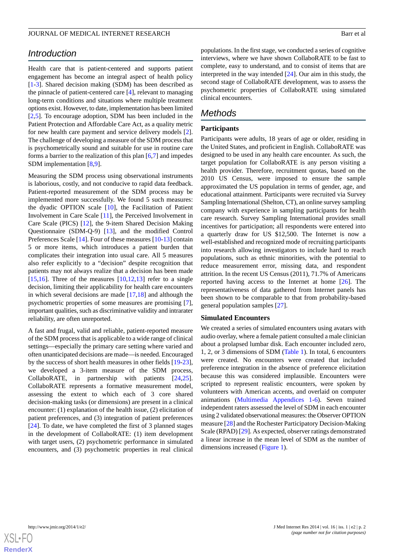# *Introduction*

Health care that is patient-centered and supports patient engagement has become an integral aspect of health policy [[1](#page-10-0)[-3](#page-10-1)]. Shared decision making (SDM) has been described as the pinnacle of patient-centered care [\[4](#page-10-2)], relevant to managing long-term conditions and situations where multiple treatment options exist. However, to date, implementation has been limited [[2](#page-10-3)[,5](#page-11-0)]. To encourage adoption, SDM has been included in the Patient Protection and Affordable Care Act, as a quality metric for new health care payment and service delivery models [[2\]](#page-10-3). The challenge of developing a measure of the SDM process that is psychometrically sound and suitable for use in routine care forms a barrier to the realization of this plan [\[6](#page-11-1),[7\]](#page-11-2) and impedes SDM implementation [\[8](#page-11-3),[9\]](#page-11-4).

Measuring the SDM process using observational instruments is laborious, costly, and not conducive to rapid data feedback. Patient-reported measurement of the SDM process may be implemented more successfully. We found 5 such measures: the dyadic OPTION scale [[10\]](#page-11-5), the Facilitation of Patient Involvement in Care Scale [[11\]](#page-11-6), the Perceived Involvement in Care Scale (PICS) [[12\]](#page-11-7), the 9-item Shared Decision Making Questionnaire (SDM-Q-9) [\[13](#page-11-8)], and the modified Control Preferences Scale [\[14](#page-11-9)]. Four of these measures [\[10](#page-11-5)-[13\]](#page-11-8) contain 5 or more items, which introduces a patient burden that complicates their integration into usual care. All 5 measures also refer explicitly to a "decision" despite recognition that patients may not always realize that a decision has been made [[15](#page-11-10)[,16](#page-11-11)]. Three of the measures  $[10,12,13]$  $[10,12,13]$  $[10,12,13]$  $[10,12,13]$  $[10,12,13]$  refer to a single decision, limiting their applicability for health care encounters in which several decisions are made [\[17](#page-11-12),[18\]](#page-11-13) and although the psychometric properties of some measures are promising [[7\]](#page-11-2), important qualities, such as discriminative validity and intrarater reliability, are often unreported.

A fast and frugal, valid and reliable, patient-reported measure of the SDM process that is applicable to a wide range of clinical settings—especially the primary care setting where varied and often unanticipated decisions are made—is needed. Encouraged by the success of short health measures in other fields [\[19](#page-11-14)-[23\]](#page-11-15), we developed a 3-item measure of the SDM process, CollaboRATE, in partnership with patients [\[24](#page-11-16),[25\]](#page-11-17). CollaboRATE represents a formative measurement model, assessing the extent to which each of 3 core shared decision-making tasks (or dimensions) are present in a clinical encounter: (1) explanation of the health issue, (2) elicitation of patient preferences, and (3) integration of patient preferences [[24\]](#page-11-16). To date, we have completed the first of 3 planned stages in the development of CollaboRATE: (1) item development with target users, (2) psychometric performance in simulated encounters, and (3) psychometric properties in real clinical

populations. In the first stage, we conducted a series of cognitive interviews, where we have shown CollaboRATE to be fast to complete, easy to understand, and to consist of items that are interpreted in the way intended [[24\]](#page-11-16). Our aim in this study, the second stage of CollaboRATE development, was to assess the psychometric properties of CollaboRATE using simulated clinical encounters.

# *Methods*

#### **Participants**

Participants were adults, 18 years of age or older, residing in the United States, and proficient in English. CollaboRATE was designed to be used in any health care encounter. As such, the target population for CollaboRATE is any person visiting a health provider. Therefore, recruitment quotas, based on the 2010 US Census, were imposed to ensure the sample approximated the US population in terms of gender, age, and educational attainment. Participants were recruited via Survey Sampling International (Shelton, CT), an online survey sampling company with experience in sampling participants for health care research. Survey Sampling International provides small incentives for participation; all respondents were entered into a quarterly draw for US \$12,500. The Internet is now a well-established and recognized mode of recruiting participants into research allowing investigators to include hard to reach populations, such as ethnic minorities, with the potential to reduce measurement error, missing data, and respondent attrition. In the recent US Census (2011), 71.7% of Americans reported having access to the Internet at home  $[26]$  $[26]$ . The representativeness of data gathered from Internet panels has been shown to be comparable to that from probability-based general population samples [[27\]](#page-11-19).

#### **Simulated Encounters**

We created a series of simulated encounters using avatars with audio overlay, where a female patient consulted a male clinician about a prolapsed lumbar disk. Each encounter included zero, 1, 2, or 3 dimensions of SDM ([Table 1](#page-2-0)). In total, 6 encounters were created. No encounters were created that included preference integration in the absence of preference elicitation because this was considered implausible. Encounters were scripted to represent realistic encounters, were spoken by volunteers with American accents, and overlaid on computer animations [\(Multimedia Appendices 1](#page-10-4)[-6](#page-10-5)). Seven trained independent raters assessed the level of SDM in each encounter using 2 validated observational measures: the Observer OPTION measure [\[28](#page-12-0)] and the Rochester Participatory Decision-Making Scale (RPAD) [\[29](#page-12-1)]. As expected, observer ratings demonstrated a linear increase in the mean level of SDM as the number of dimensions increased [\(Figure 1\)](#page-2-1).

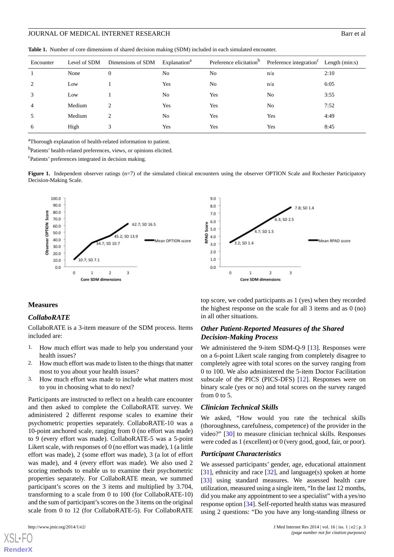<span id="page-2-0"></span>**Table 1.** Number of core dimensions of shared decision making (SDM) included in each simulated encounter.

| Encounter      | Level of SDM | Dimensions of SDM Explanation <sup>a</sup> |                |                | Preference elicitation <sup>b</sup> Preference integration <sup>c</sup> Length (min:s) |      |
|----------------|--------------|--------------------------------------------|----------------|----------------|----------------------------------------------------------------------------------------|------|
|                | None         | $\theta$                                   | N <sub>0</sub> | N <sub>0</sub> | n/a                                                                                    | 2:10 |
| $\overline{2}$ | Low          |                                            | Yes            | N <sub>0</sub> | n/a                                                                                    | 6:05 |
| 3              | Low          |                                            | No             | Yes            | No                                                                                     | 3:55 |
| $\overline{4}$ | Medium       |                                            | Yes            | Yes            | No                                                                                     | 7:52 |
| 5              | Medium       | 2                                          | N <sub>0</sub> | Yes            | Yes                                                                                    | 4:49 |
| 6              | High         |                                            | Yes            | Yes            | Yes                                                                                    | 8:45 |

<sup>a</sup>Thorough explanation of health-related information to patient.

b<sub>Patients</sub>' health-related preferences, views, or opinions elicited.

<span id="page-2-1"></span><sup>c</sup>Patients' preferences integrated in decision making.

Figure 1. Independent observer ratings (n=7) of the simulated clinical encounters using the observer OPTION Scale and Rochester Participatory Decision-Making Scale.





#### **Measures**

#### *CollaboRATE*

CollaboRATE is a 3-item measure of the SDM process. Items included are:

- 1. How much effort was made to help you understand your health issues?
- 2. How much effort was made to listen to the things that matter most to you about your health issues?
- 3. How much effort was made to include what matters most to you in choosing what to do next?

Participants are instructed to reflect on a health care encounter and then asked to complete the CollaboRATE survey. We administered 2 different response scales to examine their psychometric properties separately. CollaboRATE-10 was a 10-point anchored scale, ranging from 0 (no effort was made) to 9 (every effort was made). CollaboRATE-5 was a 5-point Likert scale, with responses of 0 (no effort was made), 1 (a little effort was made), 2 (some effort was made), 3 (a lot of effort was made), and 4 (every effort was made). We also used 2 scoring methods to enable us to examine their psychometric properties separately. For CollaboRATE mean, we summed participant's scores on the 3 items and multiplied by 3.704, transforming to a scale from 0 to 100 (for CollaboRATE-10) and the sum of participant's scores on the 3 items on the original scale from 0 to 12 (for CollaboRATE-5). For CollaboRATE

[XSL](http://www.w3.org/Style/XSL)•FO **[RenderX](http://www.renderx.com/)**

**Core SDM dimensions** top score, we coded participants as 1 (yes) when they recorded the highest response on the scale for all 3 items and as 0 (no)

#### *Other Patient-Reported Measures of the Shared Decision-Making Process*

We administered the 9-item SDM-Q-9 [\[13](#page-11-8)]. Responses were on a 6-point Likert scale ranging from completely disagree to completely agree with total scores on the survey ranging from 0 to 100. We also administered the 5-item Doctor Facilitation subscale of the PICS (PICS-DFS) [[12\]](#page-11-7). Responses were on binary scale (yes or no) and total scores on the survey ranged from 0 to 5.

#### *Clinician Technical Skills*

in all other situations.

We asked, "How would you rate the technical skills (thoroughness, carefulness, competence) of the provider in the video?" [[30\]](#page-12-2) to measure clinician technical skills. Responses were coded as 1 (excellent) or 0 (very good, good, fair, or poor).

#### *Participant Characteristics*

We assessed participants' gender, age, educational attainment [[31\]](#page-12-3), ethnicity and race [[32\]](#page-12-4), and language(s) spoken at home [[33\]](#page-12-5) using standard measures. We assessed health care utilization, measured using a single item, "In the last 12 months, did you make any appointment to see a specialist" with a yes/no response option [[34\]](#page-12-6). Self-reported health status was measured using 2 questions: "Do you have any long-standing illness or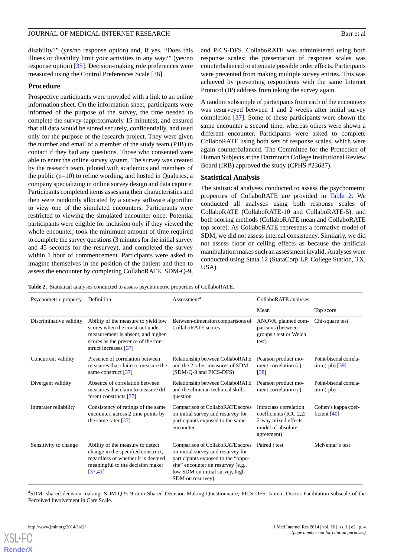disability?" (yes/no response option) and, if yes, "Does this illness or disability limit your activities in any way?" (yes/no response option) [\[35](#page-12-7)]. Decision-making role preferences were measured using the Control Preferences Scale [[36\]](#page-12-8).

#### **Procedure**

Prospective participants were provided with a link to an online information sheet. On the information sheet, participants were informed of the purpose of the survey, the time needed to complete the survey (approximately 15 minutes), and ensured that all data would be stored securely, confidentially, and used only for the purpose of the research project. They were given the number and email of a member of the study team (PJB) to contact if they had any questions. Those who consented were able to enter the online survey system. The survey was created by the research team, piloted with academics and members of the public (n=10) to refine wording, and hosted in Qualtrics, a company specializing in online survey design and data capture. Participants completed items assessing their characteristics and then were randomly allocated by a survey software algorithm to view one of the simulated encounters. Participants were restricted to viewing the simulated encounter once. Potential participants were eligible for inclusion only if they viewed the whole encounter, took the minimum amount of time required to complete the survey questions (3 minutes for the initial survey and 45 seconds for the resurvey), and completed the survey within 1 hour of commencement. Participants were asked to imagine themselves in the position of the patient and then to assess the encounter by completing CollaboRATE, SDM-Q-9,

and PICS-DFS. CollaboRATE was administered using both response scales; the presentation of response scales was counterbalanced to attenuate possible order effects. Participants were prevented from making multiple survey entries. This was achieved by preventing respondents with the same Internet Protocol (IP) address from taking the survey again.

A random subsample of participants from each of the encounters was resurveyed between 1 and 2 weeks after initial survey completion [[37\]](#page-12-9). Some of these participants were shown the same encounter a second time, whereas others were shown a different encounter. Participants were asked to complete CollaboRATE using both sets of response scales, which were again counterbalanced. The Committee for the Protection of Human Subjects at the Dartmouth College Institutional Review Board (IRB) approved the study (CPHS #23687).

#### **Statistical Analysis**

The statistical analyses conducted to assess the psychometric properties of CollaboRATE are provided in [Table 2](#page-3-0). We conducted all analyses using both response scales of CollaboRATE (CollaboRATE-10 and CollaboRATE-5), and both scoring methods (CollaboRATE mean and CollaboRATE top score). As CollaboRATE represents a formative model of SDM, we did not assess internal consistency. Similarly, we did not assess floor or ceiling effects as because the artificial manipulation makes such an assessment invalid. Analyses were conducted using Stata 12 (StataCorp LP, College Station, TX, USA).

<span id="page-3-0"></span>**Table 2.** Statistical analyses conducted to assess psychometric properties of CollaboRATE.

| Psychometric property   | Definition                                                                                                                                                                 | Assessment <sup>a</sup>                                                                                                                                                                                   | CollaboRATE analyses                                                                                       |                                              |
|-------------------------|----------------------------------------------------------------------------------------------------------------------------------------------------------------------------|-----------------------------------------------------------------------------------------------------------------------------------------------------------------------------------------------------------|------------------------------------------------------------------------------------------------------------|----------------------------------------------|
|                         |                                                                                                                                                                            |                                                                                                                                                                                                           | Mean                                                                                                       | Top score                                    |
| Discriminative validity | Ability of the measure to yield low<br>scores when the construct under<br>measurement is absent, and higher<br>scores as the presence of the con-<br>struct increases [37] | Between-dimension comparisons of<br>CollaboRATE scores                                                                                                                                                    | ANOVA, planned com-<br>parisons (between-<br>groups <i>t</i> test or Welch<br>test)                        | Chi-square test                              |
| Concurrent validity     | Presence of correlation between<br>measures that claim to measure the<br>same construct [37]                                                                               | Relationship between CollaboRATE<br>and the 2 other measures of SDM<br>(SDM-Q-9 and PICS-DFS)                                                                                                             | Pearson product mo-<br>ment correlation $(r)$<br>$\lceil 38 \rceil$                                        | Point-biserial correla-<br>tion $(rpb)$ [39] |
| Divergent validity      | Absence of correlation between<br>measures that claim to measure dif-<br>ferent constructs [37]                                                                            | Relationship between CollaboRATE<br>and the clinician technical skills<br>question                                                                                                                        | Pearson product mo-<br>ment correlation $(r)$                                                              | Point-biserial correla-<br>tion (rpb)        |
| Intrarater reliability  | Consistency of ratings of the same<br>encounter, across 2 time points by<br>the same rater $[37]$                                                                          | Comparison of CollaboRATE scores<br>on initial survey and resurvey for<br>participants exposed to the same<br>encounter                                                                                   | Intraclass correlation<br>coefficients (ICC 2,2;<br>2-way mixed effects<br>model of absolute<br>agreement) | Cohen's kappa coef-<br>ficient $[40]$        |
| Sensitivity to change   | Ability of the measure to detect<br>change in the specified construct,<br>regardless of whether it is deemed<br>meaningful to the decision maker<br>[37, 41]               | Comparison of CollaboRATE scores<br>on initial survey and resurvey for<br>participants exposed to the "oppo-<br>site" encounter on resurvey (e.g.,<br>low SDM on initial survey, high<br>SDM on resurvey) | Paired t test                                                                                              | McNemar's test                               |

a<br>SDM: shared decision making; SDM-Q-9: 9-item Shared Decision Making Questionnaire; PICS-DFS: 5-item Doctor Facilitation subscale of the Perceived Involvement in Care Scale.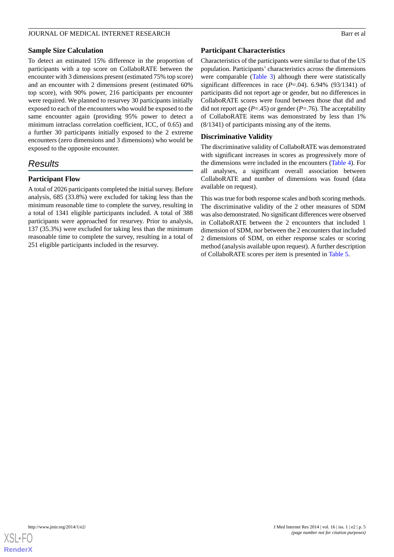#### **Sample Size Calculation**

To detect an estimated 15% difference in the proportion of participants with a top score on CollaboRATE between the encounter with 3 dimensions present (estimated 75% top score) and an encounter with 2 dimensions present (estimated 60% top score), with 90% power, 216 participants per encounter were required. We planned to resurvey 30 participants initially exposed to each of the encounters who would be exposed to the same encounter again (providing 95% power to detect a minimum intraclass correlation coefficient, ICC, of 0.65) and a further 30 participants initially exposed to the 2 extreme encounters (zero dimensions and 3 dimensions) who would be exposed to the opposite encounter.

# *Results*

# **Participant Flow**

A total of 2026 participants completed the initial survey. Before analysis, 685 (33.8%) were excluded for taking less than the minimum reasonable time to complete the survey, resulting in a total of 1341 eligible participants included. A total of 388 participants were approached for resurvey. Prior to analysis, 137 (35.3%) were excluded for taking less than the minimum reasonable time to complete the survey, resulting in a total of 251 eligible participants included in the resurvey.

#### **Participant Characteristics**

Characteristics of the participants were similar to that of the US population. Participants' characteristics across the dimensions were comparable ([Table 3\)](#page-5-0) although there were statistically significant differences in race  $(P=.04)$ . 6.94% (93/1341) of participants did not report age or gender, but no differences in CollaboRATE scores were found between those that did and did not report age  $(P=.45)$  or gender  $(P=.76)$ . The acceptability of CollaboRATE items was demonstrated by less than 1% (8/1341) of participants missing any of the items.

# **Discriminative Validity**

The discriminative validity of CollaboRATE was demonstrated with significant increases in scores as progressively more of the dimensions were included in the encounters ([Table 4](#page-6-0)). For all analyses, a significant overall association between CollaboRATE and number of dimensions was found (data available on request).

This was true for both response scales and both scoring methods. The discriminative validity of the 2 other measures of SDM was also demonstrated. No significant differences were observed in CollaboRATE between the 2 encounters that included 1 dimension of SDM, nor between the 2 encounters that included 2 dimensions of SDM, on either response scales or scoring method (analysis available upon request). A further description of CollaboRATE scores per item is presented in [Table 5](#page-7-0).

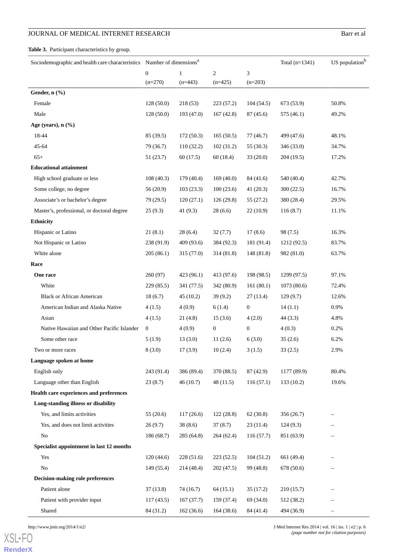# **JOURNAL OF MEDICAL INTERNET RESEARCH Barr et al.**

<span id="page-5-0"></span>**Table 3.** Participant characteristics by group.

| Sociodemographic and health care characteristics Number of dimensions <sup>a</sup> |                  |              |                |                  | Total $(n=1341)$ | US population <sup>b</sup> |
|------------------------------------------------------------------------------------|------------------|--------------|----------------|------------------|------------------|----------------------------|
|                                                                                    | $\boldsymbol{0}$ | $\mathbf{1}$ | $\overline{c}$ | $\mathfrak{Z}$   |                  |                            |
|                                                                                    | $(n=270)$        | $(n=443)$    | $(n=425)$      | $(n=203)$        |                  |                            |
| Gender, n (%)                                                                      |                  |              |                |                  |                  |                            |
| Female                                                                             | 128(50.0)        | 218(53)      | 223(57.2)      | 104(54.5)        | 673 (53.9)       | 50.8%                      |
| Male                                                                               | 128(50.0)        | 193 (47.0)   | 167(42.8)      | 87 (45.6)        | 575 (46.1)       | 49.2%                      |
| Age (years), $n$ $(\frac{9}{6})$                                                   |                  |              |                |                  |                  |                            |
| 18-44                                                                              | 85 (39.5)        | 172(50.3)    | 165(50.5)      | 77(46.7)         | 499 (47.6)       | 48.1%                      |
| 45-64                                                                              | 79 (36.7)        | 110(32.2)    | 102(31.2)      | 55 (30.3)        | 346 (33.0)       | 34.7%                      |
| $65+$                                                                              | 51 (23.7)        | 60 (17.5)    | 60(18.4)       | 33(20.0)         | 204 (19.5)       | 17.2%                      |
| <b>Educational attainment</b>                                                      |                  |              |                |                  |                  |                            |
| High school graduate or less                                                       | 108(40.3)        | 179(40.4)    | 169(40.0)      | 84 (41.6)        | 540 (40.4)       | 42.7%                      |
| Some college, no degree                                                            | 56(20.9)         | 103(23.3)    | 100(23.6)      | 41(20.3)         | 300(22.5)        | 16.7%                      |
| Associate's or bachelor's degree                                                   | 79 (29.5)        | 120(27.1)    | 126(29.8)      | 55(27.2)         | 380 (28.4)       | 29.5%                      |
| Master's, professional, or doctoral degree                                         | 25(9.3)          | 41 $(9.3)$   | 28(6.6)        | 22(10.9)         | 116(8.7)         | 11.1%                      |
| <b>Ethnicity</b>                                                                   |                  |              |                |                  |                  |                            |
| Hispanic or Latino                                                                 | 21(8.1)          | 28(6.4)      | 32(7.7)        | 17(8.6)          | 98 (7.5)         | 16.3%                      |
| Not Hispanic or Latino                                                             | 238 (91.9)       | 409 (93.6)   | 384 (92.3)     | 181 (91.4)       | 1212 (92.5)      | 83.7%                      |
| White alone                                                                        | 205(86.1)        | 315 (77.0)   | 314 (81.8)     | 148 (81.8)       | 982 (81.0)       | 63.7%                      |
| Race                                                                               |                  |              |                |                  |                  |                            |
| One race                                                                           | 260 (97)         | 423 (96.1)   | 413 (97.6)     | 198 (98.5)       | 1299 (97.5)      | 97.1%                      |
| White                                                                              | 229(85.5)        | 341 (77.5)   | 342 (80.9)     | 161(80.1)        | 1073(80.6)       | 72.4%                      |
| <b>Black or African American</b>                                                   | 18(6.7)          | 45(10.2)     | 39(9.2)        | 27(13.4)         | 129(9.7)         | 12.6%                      |
| American Indian and Alaska Native                                                  | 4(1.5)           | 4(0.9)       | 6(1.4)         | $\mathbf{0}$     | 14(1.1)          | 0.9%                       |
| Asian                                                                              | 4(1.5)           | 21(4.8)      | 15(3.6)        | 4(2.0)           | 44 (3.3)         | 4.8%                       |
| Native Hawaiian and Other Pacific Islander                                         | $\boldsymbol{0}$ | 4(0.9)       | $\mathbf{0}$   | $\boldsymbol{0}$ | 4(0.3)           | 0.2%                       |
| Some other race                                                                    | 5(1.9)           | 13(3.0)      | 11(2.6)        | 6(3.0)           | 35(2.6)          | 6.2%                       |
| Two or more races                                                                  | 8(3.0)           | 17(3.9)      | 10(2.4)        | 3(1.5)           | 33(2.5)          | 2.9%                       |
| Language spoken at home                                                            |                  |              |                |                  |                  |                            |
| English only                                                                       | 243 (91.4)       | 386 (89.4)   | 370 (88.5)     | 87(42.9)         | 1177 (89.9)      | 80.4%                      |
| Language other than English                                                        | 23(8.7)          | 46(10.7)     | 48(11.5)       | 116(57.1)        | 133(10.2)        | 19.6%                      |
| Health care experiences and preferences                                            |                  |              |                |                  |                  |                            |
| Long-standing illness or disability                                                |                  |              |                |                  |                  |                            |
| Yes, and limits activities                                                         | 55(20.6)         | 117(26.6)    | 122(28.8)      | 62(30.8)         | 356 (26.7)       |                            |
| Yes, and does not limit activities                                                 | 26(9.7)          | 38(8.6)      | 37(8.7)        | 23(11.4)         | 124(9.3)         |                            |
| No                                                                                 | 186 (68.7)       | 285(64.8)    | 264(62.4)      | 116(57.7)        | 851 (63.9)       |                            |
| Specialist appointment in last 12 months                                           |                  |              |                |                  |                  |                            |
| Yes                                                                                | 120(44.6)        | 228(51.6)    | 223(52.5)      | 104(51.2)        | 661 (49.4)       |                            |
| N <sub>o</sub>                                                                     | 149 (55.4)       | 214 (48.4)   | 202 (47.5)     | 99 (48.8)        | 678 (50.6)       |                            |
| <b>Decision-making role preferences</b>                                            |                  |              |                |                  |                  |                            |
| Patient alone                                                                      | 37(13.8)         | 74(16.7)     | 64(15.1)       | 35(17.2)         | 210(15.7)        |                            |
| Patient with provider input                                                        | 117(43.5)        | 167(37.7)    | 159 (37.4)     | 69 (34.0)        | 512 (38.2)       |                            |
| Shared                                                                             | 84 (31.2)        | 162(36.6)    | 164(38.6)      | 84 (41.4)        | 494 (36.9)       |                            |

[XSL](http://www.w3.org/Style/XSL)•FO **[RenderX](http://www.renderx.com/)**

http://www.jmir.org/2014/1/e2/ J Med Internet Res 2014 | vol. 16 | iss. 1 | e2 | p. 6 *(page number not for citation purposes)*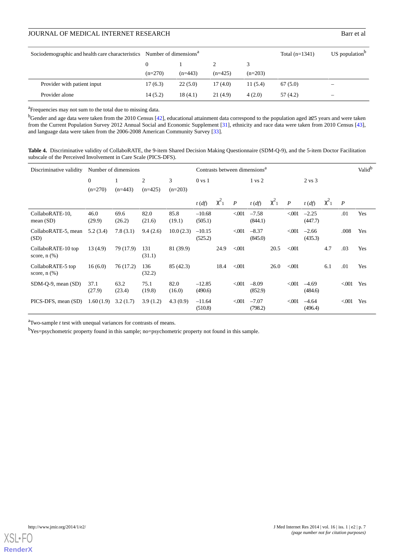# JOURNAL OF MEDICAL INTERNET RESEARCH Barr et al.

| Sociodemographic and health care characteristics Number of dimensions <sup>a</sup> |           |           | Total $(n=1341)$ | $US$ population <sup>b</sup> |          |                          |
|------------------------------------------------------------------------------------|-----------|-----------|------------------|------------------------------|----------|--------------------------|
|                                                                                    |           |           |                  |                              |          |                          |
|                                                                                    | $(n=270)$ | $(n=443)$ | $(n=425)$        | $(n=203)$                    |          |                          |
| Provider with patient input                                                        | 17(6.3)   | 22(5.0)   | 17 (4.0)         | 11(5.4)                      | 67(5.0)  | $\overline{\phantom{a}}$ |
| Provider alone                                                                     | 14(5.2)   | 18(4.1)   | 21(4.9)          | 4(2.0)                       | 57 (4.2) | $\overline{\phantom{a}}$ |

<sup>a</sup>Frequencies may not sum to the total due to missing data.

<sup>b</sup>Gender and age data were taken from the 2010 Census [[42](#page-12-14)], educational attainment data correspond to the population aged ≥25 years and were taken from the Current Population Survey 2012 Annual Social and Economic Supplement [[31](#page-12-3)], ethnicity and race data were taken from 2010 Census [\[43\]](#page-12-15), and language data were taken from the 2006-2008 American Community Survey [\[33\]](#page-12-5).

<span id="page-6-0"></span>**Table 4.** Discriminative validity of CollaboRATE, the 9-item Shared Decision Making Questionnaire (SDM-Q-9), and the 5-item Doctor Facilitation subscale of the Perceived Involvement in Care Scale (PICS-DFS).

| Discriminative validity                 |                | Number of dimensions |                |                |                     |              |                  | Contrasts between dimensions <sup>a</sup> |              |                  |                    |              | Valid <sup>b</sup> |     |  |  |  |
|-----------------------------------------|----------------|----------------------|----------------|----------------|---------------------|--------------|------------------|-------------------------------------------|--------------|------------------|--------------------|--------------|--------------------|-----|--|--|--|
|                                         | $\theta$       |                      | 2              | 3              | $0 \text{ vs } 1$   |              |                  | $1 \text{ vs } 2$                         |              |                  | $2 \text{ vs } 3$  |              |                    |     |  |  |  |
|                                         | $(n=270)$      | $(n=443)$            | $(n=425)$      | $(n=203)$      |                     |              |                  |                                           |              |                  |                    |              |                    |     |  |  |  |
|                                         |                |                      |                |                | $t(d\mathfrak{f})$  | $\chi^2_{1}$ | $\boldsymbol{P}$ | $t(d\hat{f})$                             | $\chi^2_{1}$ | $\boldsymbol{P}$ | t(df)              | $\chi^2_{1}$ | $\boldsymbol{P}$   |     |  |  |  |
| CollaboRATE-10,<br>mean(SD)             | 46.0<br>(29.9) | 69.6<br>(26.2)       | 82.0<br>(21.6) | 85.8<br>(19.1) | $-10.68$<br>(505.1) |              | < 001            | $-7.58$<br>(844.1)                        |              | < 001            | $-2.25$<br>(447.7) |              | .01                | Yes |  |  |  |
| CollaboRATE-5, mean<br>(SD)             | 5.2(3.4)       | 7.8(3.1)             | 9.4(2.6)       | 10.0(2.3)      | $-10.15$<br>(525.2) |              | < 001            | $-8.37$<br>(845.0)                        |              | $<$ 001          | $-2.66$<br>(435.3) |              | .008               | Yes |  |  |  |
| CollaboRATE-10 top<br>score, $n$ $(\%)$ | 13(4.9)        | 79 (17.9)            | 131<br>(31.1)  | 81 (39.9)      |                     | 24.9         | < 0.001          |                                           | 20.5         | < 001            |                    | 4.7          | .03                | Yes |  |  |  |
| CollaboRATE-5 top<br>score, $n$ $(\%)$  | 16(6.0)        | 76 (17.2)            | 136<br>(32.2)  | 85 (42.3)      |                     | 18.4         | < 0.001          |                                           | 26.0         | < 001            |                    | 6.1          | .01                | Yes |  |  |  |
| $SDM-Q-9$ , mean $(SD)$                 | 37.1<br>(27.9) | 63.2<br>(23.4)       | 75.1<br>(19.8) | 82.0<br>(16.0) | $-12.85$<br>(490.6) |              | < 001            | $-8.09$<br>(852.9)                        |              | < 001            | $-4.69$<br>(484.6) |              | < 001              | Yes |  |  |  |
| PICS-DFS, mean (SD)                     | 1.60(1.9)      | 3.2(1.7)             | 3.9(1.2)       | 4.3(0.9)       | $-11.64$<br>(510.8) |              | < 001            | $-7.07$<br>(798.2)                        |              | < 001            | $-4.64$<br>(496.4) |              | < 001              | Yes |  |  |  |

<sup>a</sup>Two-sample *t* test with unequal variances for contrasts of means.

<sup>b</sup>Yes=psychometric property found in this sample; no=psychometric property not found in this sample.

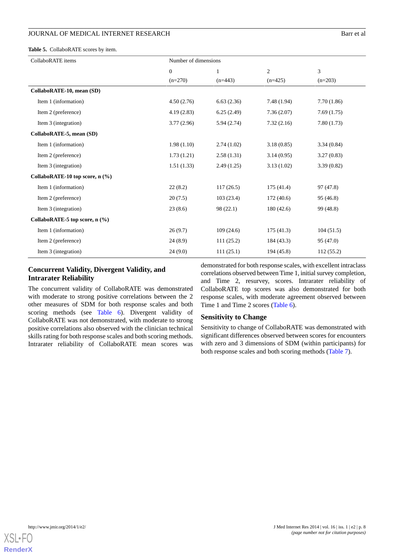<span id="page-7-0"></span>**Table 5.** CollaboRATE scores by item.

| CollaboRATE items               | Number of dimensions |            |                |            |  |  |  |
|---------------------------------|----------------------|------------|----------------|------------|--|--|--|
|                                 | $\theta$             | 1          | $\overline{c}$ | 3          |  |  |  |
|                                 | $(n=270)$            | $(n=443)$  | $(n=425)$      | $(n=203)$  |  |  |  |
| CollaboRATE-10, mean (SD)       |                      |            |                |            |  |  |  |
| Item 1 (information)            | 4.50(2.76)           | 6.63(2.36) | 7.48(1.94)     | 7.70(1.86) |  |  |  |
| Item 2 (preference)             | 4.19(2.83)           | 6.25(2.49) | 7.36(2.07)     | 7.69(1.75) |  |  |  |
| Item 3 (integration)            | 3.77(2.96)           | 5.94(2.74) | 7.32(2.16)     | 7.80(1.73) |  |  |  |
| CollaboRATE-5, mean (SD)        |                      |            |                |            |  |  |  |
| Item 1 (information)            | 1.98(1.10)           | 2.74(1.02) | 3.18(0.85)     | 3.34(0.84) |  |  |  |
| Item 2 (preference)             | 1.73(1.21)           | 2.58(1.31) | 3.14(0.95)     | 3.27(0.83) |  |  |  |
| Item 3 (integration)            | 1.51(1.33)           | 2.49(1.25) | 3.13(1.02)     | 3.39(0.82) |  |  |  |
| CollaboRATE-10 top score, n (%) |                      |            |                |            |  |  |  |
| Item 1 (information)            | 22(8.2)              | 117(26.5)  | 175(41.4)      | 97 (47.8)  |  |  |  |
| Item 2 (preference)             | 20(7.5)              | 103(23.4)  | 172(40.6)      | 95 (46.8)  |  |  |  |
| Item 3 (integration)            | 23(8.6)              | 98 (22.1)  | 180(42.6)      | 99 (48.8)  |  |  |  |
| CollaboRATE-5 top score, n (%)  |                      |            |                |            |  |  |  |
| Item 1 (information)            | 26(9.7)              | 109(24.6)  | 175(41.3)      | 104(51.5)  |  |  |  |
| Item 2 (preference)             | 24(8.9)              | 111(25.2)  | 184 (43.3)     | 95 (47.0)  |  |  |  |
| Item 3 (integration)            | 24(9.0)              | 111(25.1)  | 194 (45.8)     | 112(55.2)  |  |  |  |

# **Concurrent Validity, Divergent Validity, and Intrarater Reliability**

The concurrent validity of CollaboRATE was demonstrated with moderate to strong positive correlations between the 2 other measures of SDM for both response scales and both scoring methods (see [Table 6](#page-8-0)). Divergent validity of CollaboRATE was not demonstrated, with moderate to strong positive correlations also observed with the clinician technical skills rating for both response scales and both scoring methods. Intrarater reliability of CollaboRATE mean scores was

demonstrated for both response scales, with excellent intraclass correlations observed between Time 1, initial survey completion, and Time 2, resurvey, scores. Intrarater reliability of CollaboRATE top scores was also demonstrated for both response scales, with moderate agreement observed between Time 1 and Time 2 scores ([Table 6](#page-8-0)).

# **Sensitivity to Change**

Sensitivity to change of CollaboRATE was demonstrated with significant differences observed between scores for encounters with zero and 3 dimensions of SDM (within participants) for both response scales and both scoring methods ([Table 7](#page-8-1)).

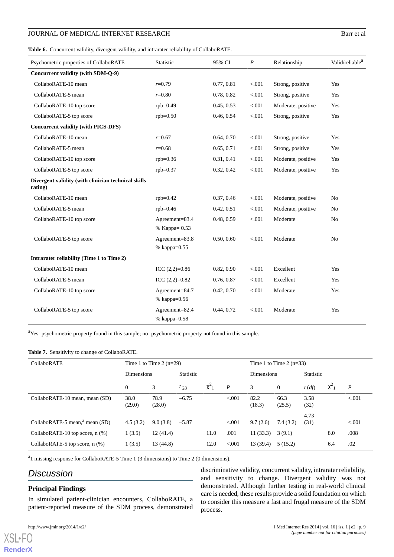<span id="page-8-0"></span>**Table 6.** Concurrent validity, divergent validity, and intrarater reliability of CollaboRATE.

| Psychometric properties of CollaboRATE                         | Statistic                              | 95% CI                | $\boldsymbol{P}$ | Relationship       | Valid/reliable <sup>a</sup> |
|----------------------------------------------------------------|----------------------------------------|-----------------------|------------------|--------------------|-----------------------------|
| Concurrent validity (with SDM-Q-9)                             |                                        |                       |                  |                    |                             |
| CollaboRATE-10 mean                                            | $r = 0.79$                             | 0.77, 0.81            | < .001           | Strong, positive   | Yes                         |
| CollaboRATE-5 mean                                             | $r=0.80$                               | 0.78, 0.82            | < 0.001          | Strong, positive   | Yes                         |
| CollaboRATE-10 top score                                       | $rbb=0.49$                             | 0.45, 0.53            | < 0.001          | Moderate, positive | Yes                         |
| CollaboRATE-5 top score                                        | $rpb=0.50$                             | 0.46, 0.54            | < 0.001          | Strong, positive   | Yes                         |
| <b>Concurrent validity (with PICS-DFS)</b>                     |                                        |                       |                  |                    |                             |
| CollaboRATE-10 mean                                            | $r=0.67$                               | 0.64, 0.70            | < 0.001          | Strong, positive   | Yes                         |
| CollaboRATE-5 mean                                             | $r = 0.68$                             | 0.65, 0.71            | < .001           | Strong, positive   | Yes                         |
| CollaboRATE-10 top score                                       | $rpb=0.36$                             | 0.31, 0.41            | < 0.001          | Moderate, positive | Yes                         |
| CollaboRATE-5 top score                                        | $rpb = 0.37$                           | 0.32, 0.42            | < 0.001          | Moderate, positive | Yes                         |
| Divergent validity (with clinician technical skills<br>rating) |                                        |                       |                  |                    |                             |
| CollaboRATE-10 mean                                            | $rbb=0.42$                             | 0.37, 0.46            | < .001           | Moderate, positive | N <sub>0</sub>              |
| CollaboRATE-5 mean                                             | $rpb=0.46$                             | 0.42, 0.51            | < 0.001          | Moderate, positive | N <sub>o</sub>              |
| CollaboRATE-10 top score                                       | Agreement=83.4<br>% Kappa= 0.53        | 0.48, 0.59            | < .001           | Moderate           | N <sub>0</sub>              |
| CollaboRATE-5 top score                                        | Agreement= $83.8$<br>$%$ kappa= $0.55$ | 0.50, 0.60<br>< 0.001 |                  | Moderate           | N <sub>0</sub>              |
| Intrarater reliability (Time 1 to Time 2)                      |                                        |                       |                  |                    |                             |
| CollaboRATE-10 mean                                            | ICC $(2,2)=0.86$                       | 0.82, 0.90            | < 0.001          | Excellent          | Yes                         |
| CollaboRATE-5 mean                                             | ICC $(2,2)=0.82$                       | 0.76, 0.87            | < .001           | Excellent          | Yes                         |
| CollaboRATE-10 top score                                       | Agreement=84.7<br>% kappa=0.56         | 0.42, 0.70            | < 0.001          | Moderate           | Yes                         |
| CollaboRATE-5 top score                                        | Agreement=82.4<br>% kappa=0.58         | 0.44, 0.72            | < 0.001          | Moderate           | Yes                         |

<span id="page-8-1"></span><sup>a</sup>Yes=psychometric property found in this sample; no=psychometric property not found in this sample.

#### **Table 7.** Sensitivity to change of CollaboRATE.

| CollaboRATE                                |                   | Time 1 to Time 2 $(n=29)$ |                  |              |                   | Time 1 to Time 2 $(n=33)$ |                |               |          |         |  |
|--------------------------------------------|-------------------|---------------------------|------------------|--------------|-------------------|---------------------------|----------------|---------------|----------|---------|--|
|                                            | <b>Dimensions</b> |                           | <b>Statistic</b> |              | <b>Dimensions</b> |                           | Statistic      |               |          |         |  |
|                                            | $\overline{0}$    | 3                         | $t_{28}$         | $\chi^2_{1}$ | $\boldsymbol{P}$  | 3                         | $\mathbf{0}$   | $t(d\hat{f})$ | $\chi^2$ | P       |  |
| CollaboRATE-10 mean, mean (SD)             | 38.0<br>(29.0)    | 78.9<br>(28.0)            | $-6.75$          |              | < 0.001           | 82.2<br>(18.3)            | 66.3<br>(25.5) | 3.58<br>(32)  |          | < 0.001 |  |
| CollaboRATE-5 mean, <sup>a</sup> mean (SD) | 4.5(3.2)          | 9.0(3.8)                  | $-5.87$          |              | < 0.001           | 9.7(2.6)                  | 7.4(3.2)       | 4.73<br>(31)  |          | < 0.001 |  |
| CollaboRATE-10 top score, n (%)            | 1(3.5)            | 12(41.4)                  |                  | 11.0         | .001              | 11(33.3)                  | 3(9.1)         |               | 8.0      | .008    |  |
| CollaboRATE-5 top score, $n$ (%)           | 1(3.5)            | 13 (44.8)                 |                  | 12.0         | < 0.001           | 13 (39.4)                 | 5(15.2)        |               | 6.4      | .02     |  |

<sup>a</sup>1 missing response for CollaboRATE-5 Time 1 (3 dimensions) to Time 2 (0 dimensions).

# *Discussion*

# **Principal Findings**

In simulated patient-clinician encounters, CollaboRATE, a patient-reported measure of the SDM process, demonstrated

[XSL](http://www.w3.org/Style/XSL)•FO **[RenderX](http://www.renderx.com/)** discriminative validity, concurrent validity, intrarater reliability, and sensitivity to change. Divergent validity was not demonstrated. Although further testing in real-world clinical care is needed, these results provide a solid foundation on which to consider this measure a fast and frugal measure of the SDM process.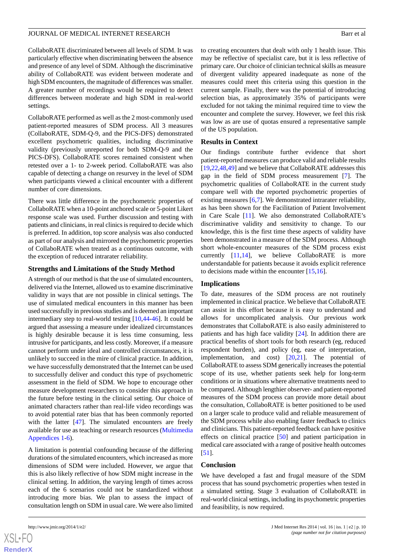CollaboRATE discriminated between all levels of SDM. It was particularly effective when discriminating between the absence and presence of any level of SDM. Although the discriminative ability of CollaboRATE was evident between moderate and high SDM encounters, the magnitude of differences was smaller. A greater number of recordings would be required to detect differences between moderate and high SDM in real-world settings.

CollaboRATE performed as well as the 2 most-commonly used patient-reported measures of SDM process. All 3 measures (CollaboRATE, SDM-Q-9, and the PICS-DFS) demonstrated excellent psychometric qualities, including discriminative validity (previously unreported for both SDM-Q-9 and the PICS-DFS). CollaboRATE scores remained consistent when retested over a 1- to 2-week period. CollaboRATE was also capable of detecting a change on resurvey in the level of SDM when participants viewed a clinical encounter with a different number of core dimensions.

There was little difference in the psychometric properties of CollaboRATE when a 10-point anchored scale or 5-point Likert response scale was used. Further discussion and testing with patients and clinicians, in real clinics is required to decide which is preferred. In addition, top score analysis was also conducted as part of our analysis and mirrored the psychometric properties of CollaboRATE when treated as a continuous outcome, with the exception of reduced intrarater reliability.

#### **Strengths and Limitations of the Study Method**

A strength of our method is that the use of simulated encounters, delivered via the Internet, allowed us to examine discriminative validity in ways that are not possible in clinical settings. The use of simulated medical encounters in this manner has been used successfully in previous studies and is deemed an important intermediary step to real-world testing [[10,](#page-11-5)[44](#page-12-16)[-46](#page-12-17)]. It could be argued that assessing a measure under idealized circumstances is highly desirable because it is less time consuming, less intrusive for participants, and less costly. Moreover, if a measure cannot perform under ideal and controlled circumstances, it is unlikely to succeed in the mire of clinical practice. In addition, we have successfully demonstrated that the Internet can be used to successfully deliver and conduct this type of psychometric assessment in the field of SDM. We hope to encourage other measure development researchers to consider this approach in the future before testing in the clinical setting. Our choice of animated characters rather than real-life video recordings was to avoid potential rater bias that has been commonly reported with the latter [[47\]](#page-12-18). The simulated encounters are freely available for use as teaching or research resources ([Multimedia](#page-10-4) [Appendices 1](#page-10-4)-[6\)](#page-10-5).

A limitation is potential confounding because of the differing durations of the simulated encounters, which increased as more dimensions of SDM were included. However, we argue that this is also likely reflective of how SDM might increase in the clinical setting. In addition, the varying length of times across each of the 6 scenarios could not be standardized without introducing more bias. We plan to assess the impact of consultation length on SDM in usual care. We were also limited

to creating encounters that dealt with only 1 health issue. This may be reflective of specialist care, but it is less reflective of primary care. Our choice of clinician technical skills as measure of divergent validity appeared inadequate as none of the measures could meet this criteria using this question in the current sample. Finally, there was the potential of introducing selection bias, as approximately 35% of participants were excluded for not taking the minimal required time to view the encounter and complete the survey. However, we feel this risk was low as are use of quotas ensured a representative sample of the US population.

#### **Results in Context**

Our findings contribute further evidence that short patient-reported measures can produce valid and reliable results [[19,](#page-11-14)[22,](#page-11-20)[48](#page-12-19)[,49](#page-12-20)] and we believe that CollaboRATE addresses this gap in the field of SDM process measurement [\[7](#page-11-2)]. The psychometric qualities of CollaboRATE in the current study compare well with the reported psychometric properties of existing measures [\[6,](#page-11-1)[7\]](#page-11-2). We demonstrated intrarater reliability, as has been shown for the Facilitation of Patient Involvement in Care Scale [\[11](#page-11-6)]. We also demonstrated CollaboRATE's discriminative validity and sensitivity to change. To our knowledge, this is the first time these aspects of validity have been demonstrated in a measure of the SDM process. Although short whole-encounter measures of the SDM process exist currently [[11,](#page-11-6)[14](#page-11-9)], we believe CollaboRATE is more understandable for patients because it avoids explicit reference to decisions made within the encounter  $[15,16]$  $[15,16]$  $[15,16]$  $[15,16]$ .

# **Implications**

To date, measures of the SDM process are not routinely implemented in clinical practice. We believe that CollaboRATE can assist in this effort because it is easy to understand and allows for uncomplicated analysis. Our previous work demonstrates that CollaboRATE is also easily administered to patients and has high face validity [\[24](#page-11-16)]. In addition there are practical benefits of short tools for both research (eg, reduced respondent burden), and policy (eg, ease of interpretation, implementation, and cost) [[20](#page-11-21)[,21](#page-11-22)]. The potential of CollaboRATE to assess SDM generically increases the potential scope of its use, whether patients seek help for long-term conditions or in situations where alternative treatments need to be compared. Although lengthier observer- and patient-reported measures of the SDM process can provide more detail about the consultation, CollaboRATE is better positioned to be used on a larger scale to produce valid and reliable measurement of the SDM process while also enabling faster feedback to clinics and clinicians. This patient-reported feedback can have positive effects on clinical practice [[50\]](#page-12-21) and patient participation in medical care associated with a range of positive health outcomes [[51\]](#page-12-22).

# **Conclusion**

We have developed a fast and frugal measure of the SDM process that has sound psychometric properties when tested in a simulated setting. Stage 3 evaluation of CollaboRATE in real-world clinical settings, including its psychometric properties and feasibility, is now required.

 $XSI - F($ **[RenderX](http://www.renderx.com/)**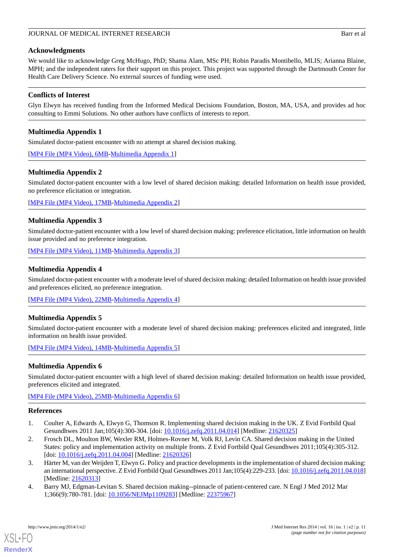## **Acknowledgments**

We would like to acknowledge Greg McHugo, PhD; Shama Alam, MSc PH; Robin Paradis Montibello, MLIS; Arianna Blaine, MPH; and the independent raters for their support on this project. This project was supported through the Dartmouth Center for Health Care Delivery Science. No external sources of funding were used.

# **Conflicts of Interest**

<span id="page-10-4"></span>Glyn Elwyn has received funding from the Informed Medical Decisions Foundation, Boston, MA, USA, and provides ad hoc consulting to Emmi Solutions. No other authors have conflicts of interests to report.

# **Multimedia Appendix 1**

Simulated doctor-patient encounter with no attempt at shared decision making.

[[MP4 File \(MP4 Video\), 6MB-Multimedia Appendix 1](https://jmir.org/api/download?alt_name=jmir_v16i1e2_app1.mp4&filename=999335bb40eeebdd9070ead8e073016e.mp4)]

# **Multimedia Appendix 2**

Simulated doctor-patient encounter with a low level of shared decision making: detailed Information on health issue provided, no preference elicitation or integration.

[[MP4 File \(MP4 Video\), 17MB-Multimedia Appendix 2](https://jmir.org/api/download?alt_name=jmir_v16i1e2_app2.mp4&filename=ce1f1110b5af6ce7129b0efd74fb8a7e.mp4)]

# **Multimedia Appendix 3**

Simulated doctor-patient encounter with a low level of shared decision making: preference elicitation, little information on health issue provided and no preference integration.

[[MP4 File \(MP4 Video\), 11MB-Multimedia Appendix 3](https://jmir.org/api/download?alt_name=jmir_v16i1e2_app3.mp4&filename=cce74c21eac1387e594a7eb237cccc79.mp4)]

#### **Multimedia Appendix 4**

Simulated doctor-patient encounter with a moderate level of shared decision making: detailed Information on health issue provided and preferences elicited, no preference integration.

[[MP4 File \(MP4 Video\), 22MB-Multimedia Appendix 4](https://jmir.org/api/download?alt_name=jmir_v16i1e2_app4.mp4&filename=ae8c85082c89f1d839cb621807272598.mp4)]

# **Multimedia Appendix 5**

<span id="page-10-5"></span>Simulated doctor-patient encounter with a moderate level of shared decision making: preferences elicited and integrated, little information on health issue provided.

[[MP4 File \(MP4 Video\), 14MB-Multimedia Appendix 5](https://jmir.org/api/download?alt_name=jmir_v16i1e2_app5.mp4&filename=5d0f3263eb18293376d046e33534ce92.mp4)]

# **Multimedia Appendix 6**

<span id="page-10-0"></span>Simulated doctor-patient encounter with a high level of shared decision making: detailed Information on health issue provided, preferences elicited and integrated.

<span id="page-10-3"></span>[[MP4 File \(MP4 Video\), 25MB-Multimedia Appendix 6](https://jmir.org/api/download?alt_name=jmir_v16i1e2_app6.mp4&filename=7ef9238b81c1455132459da9502ab911.mp4)]

#### <span id="page-10-1"></span>**References**

- 1. Coulter A, Edwards A, Elwyn G, Thomson R. Implementing shared decision making in the UK. Z Evid Fortbild Qual Gesundhwes 2011 Jan;105(4):300-304. [doi: [10.1016/j.zefq.2011.04.014](http://dx.doi.org/10.1016/j.zefq.2011.04.014)] [Medline: [21620325\]](http://www.ncbi.nlm.nih.gov/entrez/query.fcgi?cmd=Retrieve&db=PubMed&list_uids=21620325&dopt=Abstract)
- <span id="page-10-2"></span>2. Frosch DL, Moulton BW, Wexler RM, Holmes-Rovner M, Volk RJ, Levin CA. Shared decision making in the United States: policy and implementation activity on multiple fronts. Z Evid Fortbild Qual Gesundhwes 2011;105(4):305-312. [doi: [10.1016/j.zefq.2011.04.004](http://dx.doi.org/10.1016/j.zefq.2011.04.004)] [Medline: [21620326\]](http://www.ncbi.nlm.nih.gov/entrez/query.fcgi?cmd=Retrieve&db=PubMed&list_uids=21620326&dopt=Abstract)
- 3. Härter M, van der Weijden T, Elwyn G. Policy and practice developments in the implementation of shared decision making: an international perspective. Z Evid Fortbild Qual Gesundhwes 2011 Jan;105(4):229-233. [doi: [10.1016/j.zefq.2011.04.018](http://dx.doi.org/10.1016/j.zefq.2011.04.018)] [Medline: [21620313](http://www.ncbi.nlm.nih.gov/entrez/query.fcgi?cmd=Retrieve&db=PubMed&list_uids=21620313&dopt=Abstract)]
- 4. Barry MJ, Edgman-Levitan S. Shared decision making--pinnacle of patient-centered care. N Engl J Med 2012 Mar 1;366(9):780-781. [doi: [10.1056/NEJMp1109283\]](http://dx.doi.org/10.1056/NEJMp1109283) [Medline: [22375967\]](http://www.ncbi.nlm.nih.gov/entrez/query.fcgi?cmd=Retrieve&db=PubMed&list_uids=22375967&dopt=Abstract)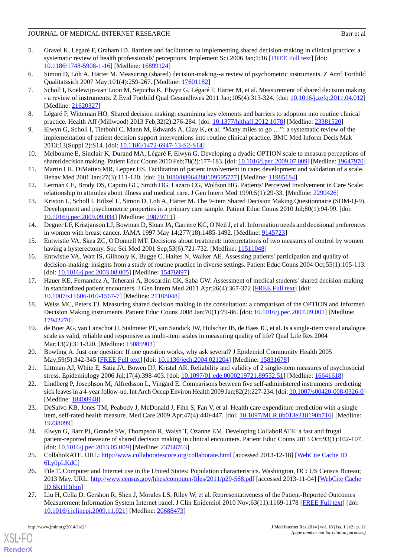- <span id="page-11-0"></span>5. Gravel K, Légaré F, Graham ID. Barriers and facilitators to implementing shared decision-making in clinical practice: a systematic review of health professionals' perceptions. Implement Sci 2006 Jan;1:16 [[FREE Full text](http://www.implementationscience.com/content/1//16)] [doi: [10.1186/1748-5908-1-16\]](http://dx.doi.org/10.1186/1748-5908-1-16) [Medline: [16899124\]](http://www.ncbi.nlm.nih.gov/entrez/query.fcgi?cmd=Retrieve&db=PubMed&list_uids=16899124&dopt=Abstract)
- <span id="page-11-2"></span><span id="page-11-1"></span>6. Simon D, Loh A, Härter M. Measuring (shared) decision-making--a review of psychometric instruments. Z Arztl Fortbild Qualitatssich 2007 May;101(4):259-267. [Medline: [17601182\]](http://www.ncbi.nlm.nih.gov/entrez/query.fcgi?cmd=Retrieve&db=PubMed&list_uids=17601182&dopt=Abstract)
- 7. Scholl I, Koelewijn-van Loon M, Sepucha K, Elwyn G, Légaré F, Härter M, et al. Measurement of shared decision making - a review of instruments. Z Evid Fortbild Qual Gesundhwes 2011 Jan;105(4):313-324. [doi: [10.1016/j.zefq.2011.04.012](http://dx.doi.org/10.1016/j.zefq.2011.04.012)] [Medline: [21620327](http://www.ncbi.nlm.nih.gov/entrez/query.fcgi?cmd=Retrieve&db=PubMed&list_uids=21620327&dopt=Abstract)]
- <span id="page-11-4"></span><span id="page-11-3"></span>8. Légaré F, Witteman HO. Shared decision making: examining key elements and barriers to adoption into routine clinical practice. Health Aff (Millwood) 2013 Feb;32(2):276-284. [doi: [10.1377/hlthaff.2012.1078](http://dx.doi.org/10.1377/hlthaff.2012.1078)] [Medline: [23381520\]](http://www.ncbi.nlm.nih.gov/entrez/query.fcgi?cmd=Retrieve&db=PubMed&list_uids=23381520&dopt=Abstract)
- <span id="page-11-5"></span>9. Elwyn G, Scholl I, Tietbohl C, Mann M, Edwards A, Clay K, et al. "Many miles to go …": a systematic review of the implementation of patient decision support interventions into routine clinical practice. BMC Med Inform Decis Mak 2013;13(Suppl 2):S14. [doi: [10.1186/1472-6947-13-S2-S14](http://dx.doi.org/10.1186/1472-6947-13-S2-S14)]
- <span id="page-11-6"></span>10. Melbourne E, Sinclair K, Durand MA, Légaré F, Elwyn G. Developing a dyadic OPTION scale to measure perceptions of shared decision making. Patient Educ Couns 2010 Feb;78(2):177-183. [doi: [10.1016/j.pec.2009.07.009\]](http://dx.doi.org/10.1016/j.pec.2009.07.009) [Medline: [19647970\]](http://www.ncbi.nlm.nih.gov/entrez/query.fcgi?cmd=Retrieve&db=PubMed&list_uids=19647970&dopt=Abstract)
- <span id="page-11-7"></span>11. Martin LR, DiMatteo MR, Lepper HS. Facilitation of patient involvement in care: development and validation of a scale. Behav Med 2001 Jan;27(3):111-120. [doi: [10.1080/08964280109595777](http://dx.doi.org/10.1080/08964280109595777)] [Medline: [11985184](http://www.ncbi.nlm.nih.gov/entrez/query.fcgi?cmd=Retrieve&db=PubMed&list_uids=11985184&dopt=Abstract)]
- <span id="page-11-8"></span>12. Lerman CE, Brody DS, Caputo GC, Smith DG, Lazaro CG, Wolfson HG. Patients' Perceived Involvement in Care Scale: relationship to attitudes about illness and medical care. J Gen Intern Med 1990;5(1):29-33. [Medline: [2299426\]](http://www.ncbi.nlm.nih.gov/entrez/query.fcgi?cmd=Retrieve&db=PubMed&list_uids=2299426&dopt=Abstract)
- <span id="page-11-9"></span>13. Kriston L, Scholl I, Hölzel L, Simon D, Loh A, Härter M. The 9-item Shared Decision Making Questionnaire (SDM-Q-9). Development and psychometric properties in a primary care sample. Patient Educ Couns 2010 Jul;80(1):94-99. [doi: [10.1016/j.pec.2009.09.034\]](http://dx.doi.org/10.1016/j.pec.2009.09.034) [Medline: [19879711](http://www.ncbi.nlm.nih.gov/entrez/query.fcgi?cmd=Retrieve&db=PubMed&list_uids=19879711&dopt=Abstract)]
- <span id="page-11-11"></span><span id="page-11-10"></span>14. Degner LF, Kristjanson LJ, Bowman D, Sloan JA, Carriere KC, O'Neil J, et al. Information needs and decisional preferences in women with breast cancer. JAMA 1997 May 14;277(18):1485-1492. [Medline: [9145723\]](http://www.ncbi.nlm.nih.gov/entrez/query.fcgi?cmd=Retrieve&db=PubMed&list_uids=9145723&dopt=Abstract)
- 15. Entwistle VA, Skea ZC, O'Donnell MT. Decisions about treatment: interpretations of two measures of control by women having a hysterectomy. Soc Sci Med 2001 Sep;53(6):721-732. [Medline: [11511048\]](http://www.ncbi.nlm.nih.gov/entrez/query.fcgi?cmd=Retrieve&db=PubMed&list_uids=11511048&dopt=Abstract)
- <span id="page-11-12"></span>16. Entwistle VA, Watt IS, Gilhooly K, Bugge C, Haites N, Walker AE. Assessing patients' participation and quality of decision-making: insights from a study of routine practice in diverse settings. Patient Educ Couns 2004 Oct;55(1):105-113. [doi: [10.1016/j.pec.2003.08.005\]](http://dx.doi.org/10.1016/j.pec.2003.08.005) [Medline: [15476997\]](http://www.ncbi.nlm.nih.gov/entrez/query.fcgi?cmd=Retrieve&db=PubMed&list_uids=15476997&dopt=Abstract)
- <span id="page-11-13"></span>17. Hauer KE, Fernandez A, Teherani A, Boscardin CK, Saba GW. Assessment of medical students' shared decision-making in standardized patient encounters. J Gen Intern Med 2011 Apr;26(4):367-372 [\[FREE Full text\]](http://europepmc.org/abstract/MED/21108048) [doi: [10.1007/s11606-010-1567-7\]](http://dx.doi.org/10.1007/s11606-010-1567-7) [Medline: [21108048](http://www.ncbi.nlm.nih.gov/entrez/query.fcgi?cmd=Retrieve&db=PubMed&list_uids=21108048&dopt=Abstract)]
- <span id="page-11-14"></span>18. Weiss MC, Peters TJ. Measuring shared decision making in the consultation: a comparison of the OPTION and Informed Decision Making instruments. Patient Educ Couns 2008 Jan;70(1):79-86. [doi: [10.1016/j.pec.2007.09.001\]](http://dx.doi.org/10.1016/j.pec.2007.09.001) [Medline: [17942270](http://www.ncbi.nlm.nih.gov/entrez/query.fcgi?cmd=Retrieve&db=PubMed&list_uids=17942270&dopt=Abstract)]
- <span id="page-11-22"></span><span id="page-11-21"></span>19. de Boer AG, van Lanschot JJ, Stalmeier PF, van Sandick JW, Hulscher JB, de Haes JC, et al. Is a single-item visual analogue scale as valid, reliable and responsive as multi-item scales in measuring quality of life? Qual Life Res 2004 Mar;13(2):311-320. [Medline: [15085903\]](http://www.ncbi.nlm.nih.gov/entrez/query.fcgi?cmd=Retrieve&db=PubMed&list_uids=15085903&dopt=Abstract)
- <span id="page-11-20"></span>20. Bowling A. Just one question: If one question works, why ask several? J Epidemiol Community Health 2005 May;59(5):342-345 [\[FREE Full text\]](http://jech.bmj.com/cgi/pmidlookup?view=long&pmid=15831678) [doi: [10.1136/jech.2004.021204\]](http://dx.doi.org/10.1136/jech.2004.021204) [Medline: [15831678\]](http://www.ncbi.nlm.nih.gov/entrez/query.fcgi?cmd=Retrieve&db=PubMed&list_uids=15831678&dopt=Abstract)
- <span id="page-11-15"></span>21. Littman AJ, White E, Satia JA, Bowen DJ, Kristal AR. Reliability and validity of 2 single-item measures of psychosocial stress. Epidemiology 2006 Jul;17(4):398-403. [doi: [10.1097/01.ede.0000219721.89552.51](http://dx.doi.org/10.1097/01.ede.0000219721.89552.51)] [Medline: [16641618\]](http://www.ncbi.nlm.nih.gov/entrez/query.fcgi?cmd=Retrieve&db=PubMed&list_uids=16641618&dopt=Abstract)
- <span id="page-11-16"></span>22. Lindberg P, Josephson M, Alfredsson L, Vingård E. Comparisons between five self-administered instruments predicting sick leaves in a 4-year follow-up. Int Arch Occup Environ Health 2009 Jan;82(2):227-234. [doi: [10.1007/s00420-008-0326-0](http://dx.doi.org/10.1007/s00420-008-0326-0)] [Medline: [18408948](http://www.ncbi.nlm.nih.gov/entrez/query.fcgi?cmd=Retrieve&db=PubMed&list_uids=18408948&dopt=Abstract)]
- <span id="page-11-17"></span>23. DeSalvo KB, Jones TM, Peabody J, McDonald J, Fihn S, Fan V, et al. Health care expenditure prediction with a single item, self-rated health measure. Med Care 2009 Apr;47(4):440-447. [doi: [10.1097/MLR.0b013e318190b716\]](http://dx.doi.org/10.1097/MLR.0b013e318190b716) [Medline: [19238099](http://www.ncbi.nlm.nih.gov/entrez/query.fcgi?cmd=Retrieve&db=PubMed&list_uids=19238099&dopt=Abstract)]
- <span id="page-11-18"></span>24. Elwyn G, Barr PJ, Grande SW, Thompson R, Walsh T, Ozanne EM. Developing CollaboRATE: a fast and frugal patient-reported measure of shared decision making in clinical encounters. Patient Educ Couns 2013 Oct;93(1):102-107. [doi: 10.1016/*j.pec.2013.05.009*] [Medline: [23768763\]](http://www.ncbi.nlm.nih.gov/entrez/query.fcgi?cmd=Retrieve&db=PubMed&list_uids=23768763&dopt=Abstract)
- <span id="page-11-19"></span>25. CollaboRATE. URL: <http://www.collaboratescore.org/collaborate.html> [accessed 2013-12-18] [\[WebCite Cache ID](http://www.webcitation.org/

                                    6Ly0pLKdC) [6Ly0pLKdC](http://www.webcitation.org/

                                    6Ly0pLKdC)]
- 26. File T. Computer and Internet use in the United States: Population characteristics. Washington, DC: US Census Bureau; 2013 May. URL: <http://www.census.gov/hhes/computer/files/2011/p20-568.pdf> [accessed 2013-11-04] [[WebCite Cache](http://www.webcitation.org/

                                    6Kt1Dibjn) [ID 6Kt1Dibjn](http://www.webcitation.org/

                                    6Kt1Dibjn)]
- 27. Liu H, Cella D, Gershon R, Shen J, Morales LS, Riley W, et al. Representativeness of the Patient-Reported Outcomes Measurement Information System Internet panel. J Clin Epidemiol 2010 Nov;63(11):1169-1178 [\[FREE Full text\]](http://europepmc.org/abstract/MED/20688473) [doi: [10.1016/j.jclinepi.2009.11.021\]](http://dx.doi.org/10.1016/j.jclinepi.2009.11.021) [Medline: [20688473](http://www.ncbi.nlm.nih.gov/entrez/query.fcgi?cmd=Retrieve&db=PubMed&list_uids=20688473&dopt=Abstract)]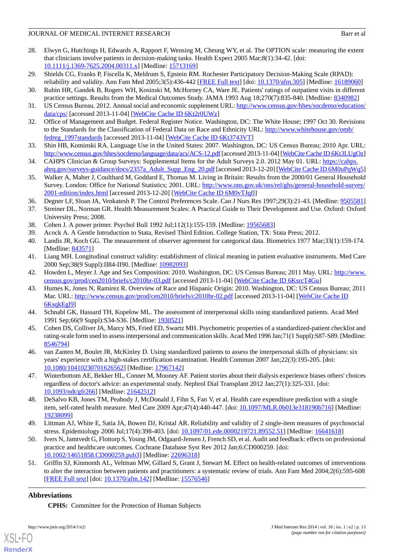- <span id="page-12-0"></span>28. Elwyn G, Hutchings H, Edwards A, Rapport F, Wensing M, Cheung WY, et al. The OPTION scale: measuring the extent that clinicians involve patients in decision-making tasks. Health Expect 2005 Mar;8(1):34-42. [doi: [10.1111/j.1369-7625.2004.00311.x\]](http://dx.doi.org/10.1111/j.1369-7625.2004.00311.x) [Medline: [15713169\]](http://www.ncbi.nlm.nih.gov/entrez/query.fcgi?cmd=Retrieve&db=PubMed&list_uids=15713169&dopt=Abstract)
- <span id="page-12-1"></span>29. Shields CG, Franks P, Fiscella K, Meldrum S, Epstein RM. Rochester Participatory Decision-Making Scale (RPAD): reliability and validity. Ann Fam Med 2005;3(5):436-442 [[FREE Full text\]](http://www.annfammed.org/cgi/pmidlookup?view=long&pmid=16189060) [doi: [10.1370/afm.305\]](http://dx.doi.org/10.1370/afm.305) [Medline: [16189060](http://www.ncbi.nlm.nih.gov/entrez/query.fcgi?cmd=Retrieve&db=PubMed&list_uids=16189060&dopt=Abstract)]
- <span id="page-12-3"></span><span id="page-12-2"></span>30. Rubin HR, Gandek B, Rogers WH, Kosinski M, McHorney CA, Ware JE. Patients' ratings of outpatient visits in different practice settings. Results from the Medical Outcomes Study. JAMA 1993 Aug 18;270(7):835-840. [Medline: [8340982\]](http://www.ncbi.nlm.nih.gov/entrez/query.fcgi?cmd=Retrieve&db=PubMed&list_uids=8340982&dopt=Abstract)
- <span id="page-12-4"></span>31. US Census Bureau. 2012. Annual social and economic supplement URL: [http://www.census.gov/hhes/socdemo/education/](http://www.census.gov/hhes/socdemo/education/data/cps/) [data/cps/](http://www.census.gov/hhes/socdemo/education/data/cps/) [accessed 2013-11-04] [\[WebCite Cache ID 6Kt2r0UWz](http://www.webcitation.org/

                                    6Kt2r0UWz)]
- <span id="page-12-5"></span>32. Office of Management and Budget. Federal Register Notice. Washington, DC: The White House; 1997 Oct 30. Revisions to the Standards for the Classification of Federal Data on Race and Ethnicity URL: [http://www.whitehouse.gov/omb/](http://www.whitehouse.gov/omb/fedreg_1997standards) [fedreg\\_1997standards](http://www.whitehouse.gov/omb/fedreg_1997standards) [accessed 2013-11-04] [[WebCite Cache ID 6Kt3743VT\]](http://www.webcitation.org/

                                    6Kt3743VT)
- <span id="page-12-6"></span>33. Shin HB, Kominski RA. Language Use in the United States: 2007. Washington, DC: US Census Bureau; 2010 Apr. URL: <http://www.census.gov/hhes/socdemo/language/data/acs/ACS-12.pdf> [accessed 2013-11-04] [\[WebCite Cache ID 6Kt3LUgOz](http://www.webcitation.org/

                                    6Kt3LUgOz)]
- <span id="page-12-7"></span>34. CAHPS Clinician & Group Surveys: Supplemental Items for the Adult Surveys 2.0. 2012 May 01. URL: [https://cahps.](https://cahps.ahrq.gov/surveys-guidance/docs/2357a_Adult_Supp_Eng_20.pdf) [ahrq.gov/surveys-guidance/docs/2357a\\_Adult\\_Supp\\_Eng\\_20.pdf](https://cahps.ahrq.gov/surveys-guidance/docs/2357a_Adult_Supp_Eng_20.pdf) [accessed 2013-12-20] [[WebCite Cache ID 6M0uPqWq5\]](http://www.webcitation.org/

                                    6M0uPqWq5)
- <span id="page-12-9"></span><span id="page-12-8"></span>35. Walker A, Maher J, Coulthard M, Goddard E, Thomas M. Living in Britain: Results from the 2000/01 General Household Survey. London: Office for National Statistics; 2001. URL: [http://www.ons.gov.uk/ons/rel/ghs/general-household-survey/](http://www.ons.gov.uk/ons/rel/ghs/general-household-survey/2001-edition/index.html) [2001-edition/index.html](http://www.ons.gov.uk/ons/rel/ghs/general-household-survey/2001-edition/index.html) [accessed 2013-12-20] [\[WebCite Cache ID 6M0vTJqfl](http://www.webcitation.org/

                                    6M0vTJqfl)]
- <span id="page-12-11"></span>36. Degner LF, Sloan JA, Venkatesh P. The Control Preferences Scale. Can J Nurs Res 1997;29(3):21-43. [Medline: [9505581](http://www.ncbi.nlm.nih.gov/entrez/query.fcgi?cmd=Retrieve&db=PubMed&list_uids=9505581&dopt=Abstract)]
- <span id="page-12-10"></span>37. Streiner DL, Norman GR. Health Measurement Scales: A Practical Guide to Their Development and Use. Oxford: Oxford University Press; 2008.
- <span id="page-12-12"></span>38. Cohen J. A power primer. Psychol Bull 1992 Jul;112(1):155-159. [Medline: [19565683\]](http://www.ncbi.nlm.nih.gov/entrez/query.fcgi?cmd=Retrieve&db=PubMed&list_uids=19565683&dopt=Abstract)
- <span id="page-12-13"></span>39. Acock A. A Gentle Introduction to Stata, Revised Third Edition. College Station, TX: Stata Press; 2012.
- <span id="page-12-14"></span>40. Landis JR, Koch GG. The measurement of observer agreement for categorical data. Biometrics 1977 Mar;33(1):159-174. [Medline: [843571](http://www.ncbi.nlm.nih.gov/entrez/query.fcgi?cmd=Retrieve&db=PubMed&list_uids=843571&dopt=Abstract)]
- <span id="page-12-15"></span>41. Liang MH. Longitudinal construct validity: establishment of clinical meaning in patient evaluative instruments. Med Care 2000 Sep;38(9 Suppl):II84-II90. [Medline: [10982093\]](http://www.ncbi.nlm.nih.gov/entrez/query.fcgi?cmd=Retrieve&db=PubMed&list_uids=10982093&dopt=Abstract)
- 42. Howden L, Meyer J. Age and Sex Composition: 2010. Washington, DC: US Census Bureau; 2011 May. URL: [http://www.](http://www.census.gov/prod/cen2010/briefs/c2010br-03.pdf) [census.gov/prod/cen2010/briefs/c2010br-03.pdf](http://www.census.gov/prod/cen2010/briefs/c2010br-03.pdf) [accessed 2013-11-04] [[WebCite Cache ID 6KsrcT4Gu](http://www.webcitation.org/

                                    6KsrcT4Gu)]
- <span id="page-12-16"></span>43. Humes K, Jones N, Ramirez R. Overview of Race and Hispanic Origin: 2010. Washington, DC: US Census Bureau; 2011 Mar. URL: <http://www.census.gov/prod/cen2010/briefs/c2010br-02.pdf> [accessed 2013-11-04] [\[WebCite Cache ID](http://www.webcitation.org/

                                    6KsqkEgl9) [6KsqkEgl9\]](http://www.webcitation.org/

                                    6KsqkEgl9)
- <span id="page-12-17"></span>44. Schnabl GK, Hassard TH, Kopelow ML. The assessment of interpersonal skills using standardized patients. Acad Med 1991 Sep;66(9 Suppl):S34-S36. [Medline: [1930521\]](http://www.ncbi.nlm.nih.gov/entrez/query.fcgi?cmd=Retrieve&db=PubMed&list_uids=1930521&dopt=Abstract)
- <span id="page-12-18"></span>45. Cohen DS, Colliver JA, Marcy MS, Fried ED, Swartz MH. Psychometric properties of a standardized-patient checklist and rating-scale form used to assess interpersonal and communication skills. Acad Med 1996 Jan;71(1 Suppl):S87-S89. [Medline: [8546794\]](http://www.ncbi.nlm.nih.gov/entrez/query.fcgi?cmd=Retrieve&db=PubMed&list_uids=8546794&dopt=Abstract)
- <span id="page-12-19"></span>46. van Zanten M, Boulet JR, McKinley D. Using standardized patients to assess the interpersonal skills of physicians: six years' experience with a high-stakes certification examination. Health Commun 2007 Jan;22(3):195-205. [doi: [10.1080/10410230701626562\]](http://dx.doi.org/10.1080/10410230701626562) [Medline: [17967142\]](http://www.ncbi.nlm.nih.gov/entrez/query.fcgi?cmd=Retrieve&db=PubMed&list_uids=17967142&dopt=Abstract)
- <span id="page-12-20"></span>47. Winterbottom AE, Bekker HL, Conner M, Mooney AF. Patient stories about their dialysis experience biases others' choices regardless of doctor's advice: an experimental study. Nephrol Dial Transplant 2012 Jan;27(1):325-331. [doi: [10.1093/ndt/gfr266](http://dx.doi.org/10.1093/ndt/gfr266)] [Medline: [21642512\]](http://www.ncbi.nlm.nih.gov/entrez/query.fcgi?cmd=Retrieve&db=PubMed&list_uids=21642512&dopt=Abstract)
- <span id="page-12-21"></span>48. DeSalvo KB, Jones TM, Peabody J, McDonald J, Fihn S, Fan V, et al. Health care expenditure prediction with a single item, self-rated health measure. Med Care 2009 Apr;47(4):440-447. [doi: [10.1097/MLR.0b013e318190b716\]](http://dx.doi.org/10.1097/MLR.0b013e318190b716) [Medline: [19238099](http://www.ncbi.nlm.nih.gov/entrez/query.fcgi?cmd=Retrieve&db=PubMed&list_uids=19238099&dopt=Abstract)]
- <span id="page-12-22"></span>49. Littman AJ, White E, Satia JA, Bowen DJ, Kristal AR. Reliability and validity of 2 single-item measures of psychosocial stress. Epidemiology 2006 Jul;17(4):398-403. [doi: [10.1097/01.ede.0000219721.89552.51](http://dx.doi.org/10.1097/01.ede.0000219721.89552.51)] [Medline: [16641618\]](http://www.ncbi.nlm.nih.gov/entrez/query.fcgi?cmd=Retrieve&db=PubMed&list_uids=16641618&dopt=Abstract)
- 50. Ivers N, Jamtvedt G, Flottorp S, Young JM, Odgaard-Jensen J, French SD, et al. Audit and feedback: effects on professional practice and healthcare outcomes. Cochrane Database Syst Rev 2012 Jan;6:CD000259. [doi: [10.1002/14651858.CD000259.pub3\]](http://dx.doi.org/10.1002/14651858.CD000259.pub3) [Medline: [22696318](http://www.ncbi.nlm.nih.gov/entrez/query.fcgi?cmd=Retrieve&db=PubMed&list_uids=22696318&dopt=Abstract)]
- 51. Griffin SJ, Kinmonth AL, Veltman MW, Gillard S, Grant J, Stewart M. Effect on health-related outcomes of interventions to alter the interaction between patients and practitioners: a systematic review of trials. Ann Fam Med 2004;2(6):595-608 [[FREE Full text](http://www.annfammed.org/cgi/pmidlookup?view=long&pmid=15576546)] [doi: [10.1370/afm.142\]](http://dx.doi.org/10.1370/afm.142) [Medline: [15576546\]](http://www.ncbi.nlm.nih.gov/entrez/query.fcgi?cmd=Retrieve&db=PubMed&list_uids=15576546&dopt=Abstract)

# **Abbreviations**

**CPHS:** Committee for the Protection of Human Subjects